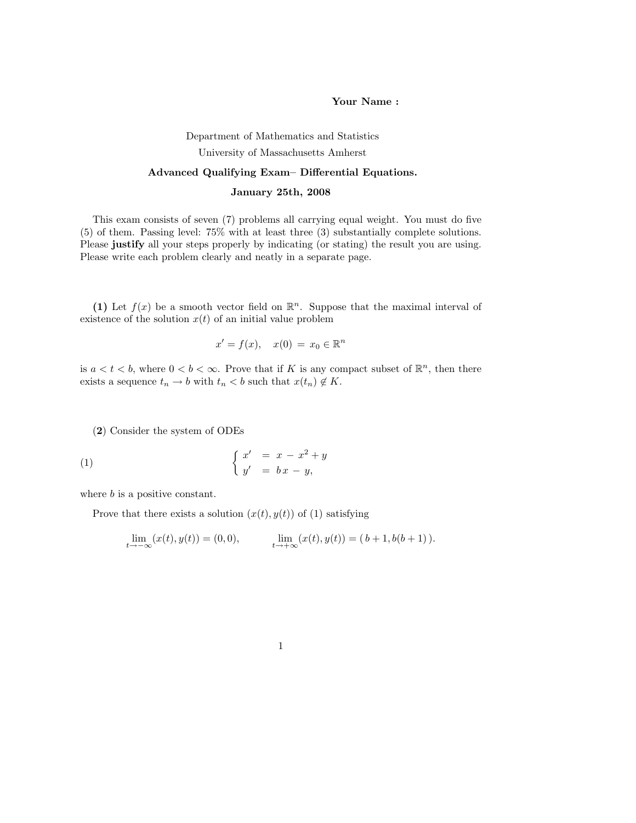## Your Name :

## Department of Mathematics and Statistics University of Massachusetts Amherst

## Advanced Qualifying Exam– Differential Equations.

## January 25th, 2008

This exam consists of seven (7) problems all carrying equal weight. You must do five (5) of them. Passing level: 75% with at least three (3) substantially complete solutions. Please justify all your steps properly by indicating (or stating) the result you are using. Please write each problem clearly and neatly in a separate page.

(1) Let  $f(x)$  be a smooth vector field on  $\mathbb{R}^n$ . Suppose that the maximal interval of existence of the solution  $x(t)$  of an initial value problem

$$
x' = f(x), \quad x(0) = x_0 \in \mathbb{R}^n
$$

is  $a < t < b$ , where  $0 < b < \infty$ . Prove that if K is any compact subset of  $\mathbb{R}^n$ , then there exists a sequence  $t_n \to b$  with  $t_n < b$  such that  $x(t_n) \notin K$ .

(2) Consider the system of ODEs

$$
\begin{cases}\nx' & = x - x^2 + y \\
y' & = bx - y,\n\end{cases}
$$

where *b* is a positive constant.

Prove that there exists a solution  $(x(t), y(t))$  of (1) satisfying

$$
\lim_{t \to -\infty} (x(t), y(t)) = (0, 0), \qquad \lim_{t \to +\infty} (x(t), y(t)) = (b + 1, b(b + 1)).
$$

1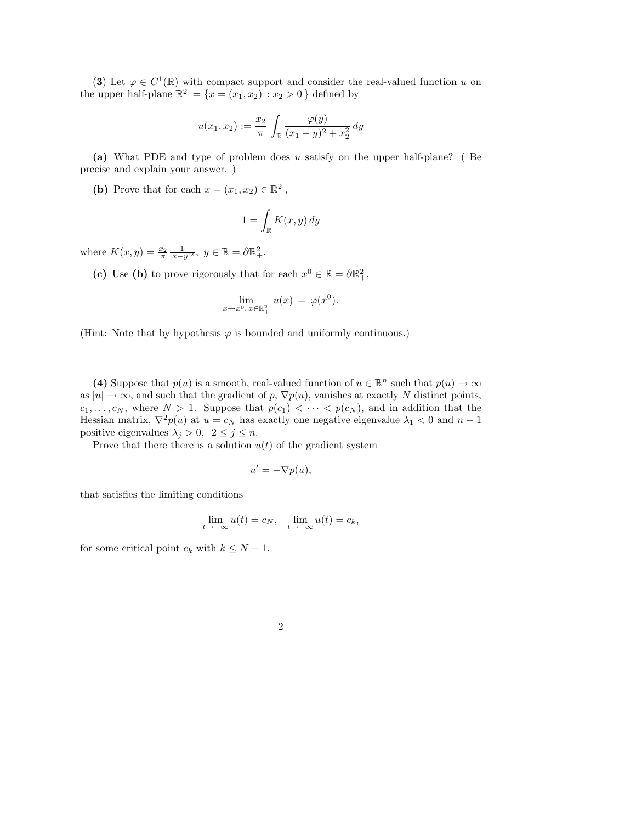(3) Let  $\varphi \in C^1(\mathbb{R})$  with compact support and consider the real-valued function u on the upper half-plane  $\mathbb{R}^2_+ = \{x = (x_1, x_2) : x_2 > 0\}$  defined by

$$
u(x_1, x_2) := \frac{x_2}{\pi} \int_{\mathbb{R}} \frac{\varphi(y)}{(x_1 - y)^2 + x_2^2} dy
$$

(a) What PDE and type of problem does u satisfy on the upper half-plane? ( Be precise and explain your answer. )

(b) Prove that for each  $x = (x_1, x_2) \in \mathbb{R}^2_+$ ,

$$
1 = \int_{\mathbb{R}} K(x, y) \, dy
$$

where  $K(x, y) = \frac{x_2}{\pi}$  $\frac{1}{|x-y|^2}, y \in \mathbb{R} = \partial \mathbb{R}^2_+.$ 

(c) Use (b) to prove rigorously that for each  $x^0 \in \mathbb{R} = \partial \mathbb{R}^2_+$ ,

$$
\lim_{x \to x^0, x \in \mathbb{R}_+^2} u(x) = \varphi(x^0).
$$

(Hint: Note that by hypothesis  $\varphi$  is bounded and uniformly continuous.)

(4) Suppose that  $p(u)$  is a smooth, real-valued function of  $u \in \mathbb{R}^n$  such that  $p(u) \to \infty$ as  $|u| \to \infty$ , and such that the gradient of p,  $\nabla p(u)$ , vanishes at exactly N distinct points,  $c_1, \ldots, c_N$ , where  $N > 1$ . Suppose that  $p(c_1) < \cdots < p(c_N)$ , and in addition that the Hessian matrix,  $\nabla^2 p(u)$  at  $u = c_N$  has exactly one negative eigenvalue  $\lambda_1 < 0$  and  $n-1$ positive eigenvalues  $\lambda_j > 0$ ,  $2 \leq j \leq n$ .

Prove that there there is a solution  $u(t)$  of the gradient system

$$
u' = -\nabla p(u),
$$

that satisfies the limiting conditions

$$
\lim_{t \to -\infty} u(t) = c_N, \quad \lim_{t \to +\infty} u(t) = c_k,
$$

for some critical point  $c_k$  with  $k \leq N - 1$ .

2